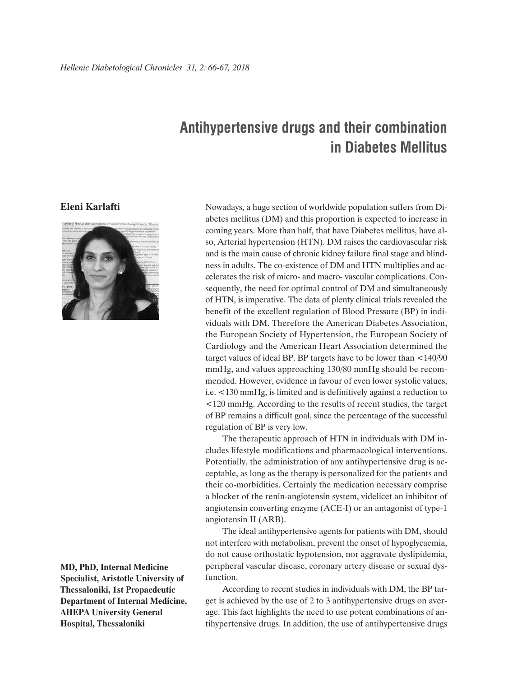## **Antihypertensive drugs and their combination in Diabetes Mellitus**

## **Eleni Karlafti**



**MD, PhD, Internal Medicine Specialist, Aristotle University of Thessaloniki, 1st Propaedeutic Department of Internal Medicine, AHEPA University General Hospital, Thessaloniki**

Nowadays, a huge section of worldwide population suffers from Diabetes mellitus (DM) and this proportion is expected to increase in coming years. More than half, that have Diabetes mellitus, have also, Arterial hypertension (HTN). DM raises the cardiovascular risk and is the main cause of chronic kidney failure final stage and blindness in adults. The co-existence of DM and HTN multiplies and accelerates the risk of micro- and macro- vascular complications. Consequently, the need for optimal control of DM and simultaneously of HTN, is imperative. The data of plenty clinical trials revealed the benefit of the excellent regulation of Blood Pressure (BP) in individuals with DM. Therefore the American Diabetes Association, the European Society of Hypertension, the European Society of Cardiology and the American Heart Association determined the target values of ideal BP. BP targets have to be lower than <140/90 mmHg, and values approaching 130/80 mmHg should be recommended. However, evidence in favour of even lower systolic values, i.e. <130 mmHg, is limited and is definitively against a reduction to <120 mmHg. According to the results of recent studies, the target of BP remains a difficult goal, since the percentage of the successful regulation of BP is very low.

The therapeutic approach of HTN in individuals with DM includes lifestyle modifications and pharmacological interventions. Potentially, the administration of any antihypertensive drug is acceptable, as long as the therapy is personalized for the patients and their co-morbidities. Certainly the medication necessary comprise a blocker of the renin-angiotensin system, videlicet an inhibitor of angiotensin converting enzyme (ACE-I) or an antagonist of type-1 angiotensin II (ARB).

The ideal antihypertensive agents for patients with DM, should not interfere with metabolism, prevent the onset of hypoglycaemia, do not cause orthostatic hypotension, nor aggravate dyslipidemia, peripheral vascular disease, coronary artery disease or sexual dysfunction.

According to recent studies in individuals with DM, the BP target is achieved by the use of 2 to 3 antihypertensive drugs on average. This fact highlights the need to use potent combinations of antihypertensive drugs. In addition, the use of antihypertensive drugs